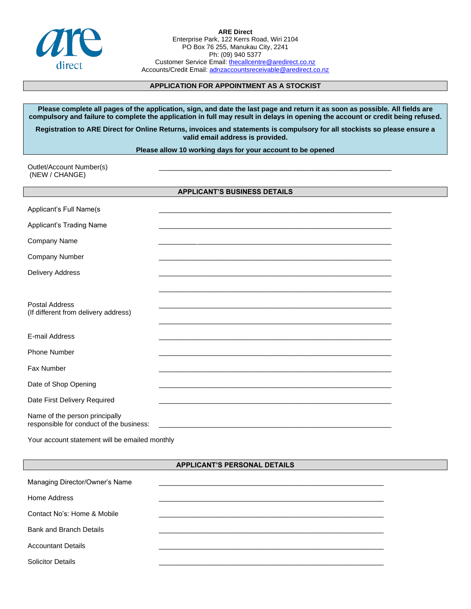

**ARE Direct** Enterprise Park, 122 Kerrs Road, Wiri 2104 PO Box 76 255, Manukau City, 2241 Ph: (09) 940 5377 Customer Service Email[: thecallcentre@aredirect.co.nz](mailto:thecallcentre@aredirect.co.nz) Accounts/Credit Email: [adnzaccountsreceivable@aredirect.co.nz](mailto:adnzaccountsreceivable@aredirect.co.nz)

# **APPLICATION FOR APPOINTMENT AS A STOCKIST**

**Please complete all pages of the application, sign, and date the last page and return it as soon as possible. All fields are compulsory and failure to complete the application in full may result in delays in opening the account or credit being refused.** 

**Registration to ARE Direct for Online Returns, invoices and statements is compulsory for all stockists so please ensure a valid email address is provided.**

**Please allow 10 working days for your account to be opened**

Outlet/Account Number(s) (NEW / CHANGE)

## **APPLICANT'S BUSINESS DETAILS**

| Applicant's Full Name(s                                                    |  |
|----------------------------------------------------------------------------|--|
| Applicant's Trading Name                                                   |  |
| Company Name                                                               |  |
| Company Number                                                             |  |
| Delivery Address                                                           |  |
|                                                                            |  |
| Postal Address<br>(If different from delivery address)                     |  |
|                                                                            |  |
| E-mail Address                                                             |  |
| Phone Number                                                               |  |
| Fax Number                                                                 |  |
| Date of Shop Opening                                                       |  |
| Date First Delivery Required                                               |  |
| Name of the person principally<br>responsible for conduct of the business: |  |
|                                                                            |  |

Your account statement will be emailed monthly

## **APPLICANT'S PERSONAL DETAILS**

| Managing Director/Owner's Name |  |
|--------------------------------|--|
| Home Address                   |  |
| Contact No's: Home & Mobile    |  |
| <b>Bank and Branch Details</b> |  |
| <b>Accountant Details</b>      |  |
| <b>Solicitor Details</b>       |  |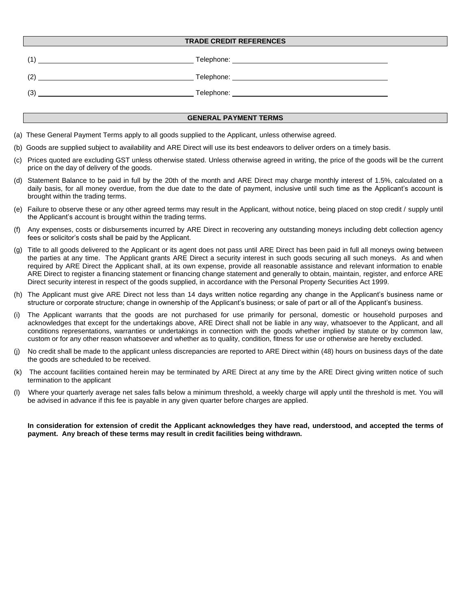### **TRADE CREDIT REFERENCES**

| $\overline{1}$ | Telephone:                          |
|----------------|-------------------------------------|
| (2)            | Telephone: <u>www.community.com</u> |
| (3)            | Telephone:                          |

#### **GENERAL PAYMENT TERMS**

- (a) These General Payment Terms apply to all goods supplied to the Applicant, unless otherwise agreed.
- (b) Goods are supplied subject to availability and ARE Direct will use its best endeavors to deliver orders on a timely basis.
- (c) Prices quoted are excluding GST unless otherwise stated. Unless otherwise agreed in writing, the price of the goods will be the current price on the day of delivery of the goods.
- (d) Statement Balance to be paid in full by the 20th of the month and ARE Direct may charge monthly interest of 1.5%, calculated on a daily basis, for all money overdue, from the due date to the date of payment, inclusive until such time as the Applicant's account is brought within the trading terms.
- (e) Failure to observe these or any other agreed terms may result in the Applicant, without notice, being placed on stop credit / supply until the Applicant's account is brought within the trading terms.
- (f) Any expenses, costs or disbursements incurred by ARE Direct in recovering any outstanding moneys including debt collection agency fees or solicitor's costs shall be paid by the Applicant.
- (g) Title to all goods delivered to the Applicant or its agent does not pass until ARE Direct has been paid in full all moneys owing between the parties at any time. The Applicant grants ARE Direct a security interest in such goods securing all such moneys. As and when required by ARE Direct the Applicant shall, at its own expense, provide all reasonable assistance and relevant information to enable ARE Direct to register a financing statement or financing change statement and generally to obtain, maintain, register, and enforce ARE Direct security interest in respect of the goods supplied, in accordance with the Personal Property Securities Act 1999.
- (h) The Applicant must give ARE Direct not less than 14 days written notice regarding any change in the Applicant's business name or structure or corporate structure; change in ownership of the Applicant's business; or sale of part or all of the Applicant's business.
- The Applicant warrants that the goods are not purchased for use primarily for personal, domestic or household purposes and acknowledges that except for the undertakings above, ARE Direct shall not be liable in any way, whatsoever to the Applicant, and all conditions representations, warranties or undertakings in connection with the goods whether implied by statute or by common law, custom or for any other reason whatsoever and whether as to quality, condition, fitness for use or otherwise are hereby excluded.
- No credit shall be made to the applicant unless discrepancies are reported to ARE Direct within (48) hours on business days of the date the goods are scheduled to be received.
- (k) The account facilities contained herein may be terminated by ARE Direct at any time by the ARE Direct giving written notice of such termination to the applicant
- (l) Where your quarterly average net sales falls below a minimum threshold, a weekly charge will apply until the threshold is met. You will be advised in advance if this fee is payable in any given quarter before charges are applied.

**In consideration for extension of credit the Applicant acknowledges they have read, understood, and accepted the terms of payment. Any breach of these terms may result in credit facilities being withdrawn.**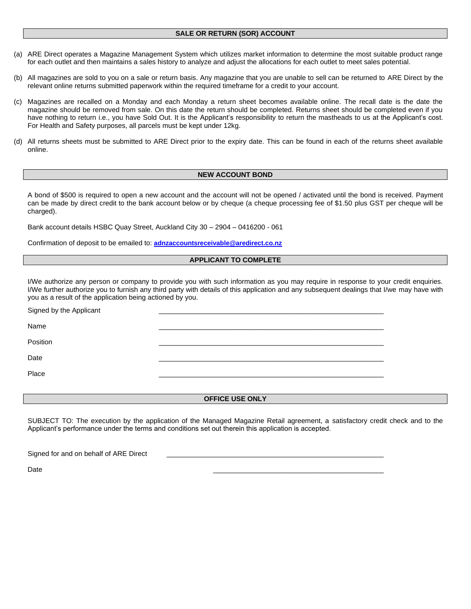## **SALE OR RETURN (SOR) ACCOUNT**

- (a) ARE Direct operates a Magazine Management System which utilizes market information to determine the most suitable product range for each outlet and then maintains a sales history to analyze and adjust the allocations for each outlet to meet sales potential.
- (b) All magazines are sold to you on a sale or return basis. Any magazine that you are unable to sell can be returned to ARE Direct by the relevant online returns submitted paperwork within the required timeframe for a credit to your account.
- (c) Magazines are recalled on a Monday and each Monday a return sheet becomes available online. The recall date is the date the magazine should be removed from sale. On this date the return should be completed. Returns sheet should be completed even if you have nothing to return i.e., you have Sold Out. It is the Applicant's responsibility to return the mastheads to us at the Applicant's cost. For Health and Safety purposes, all parcels must be kept under 12kg.
- (d) All returns sheets must be submitted to ARE Direct prior to the expiry date. This can be found in each of the returns sheet available online.

## **NEW ACCOUNT BOND**

A bond of \$500 is required to open a new account and the account will not be opened / activated until the bond is received. Payment can be made by direct credit to the bank account below or by cheque (a cheque processing fee of \$1.50 plus GST per cheque will be charged).

Bank account details HSBC Quay Street, Auckland City 30 – 2904 – 0416200 - 061

Confirmation of deposit to be emailed to: **[adnzaccountsreceivable@aredirect.co.nz](mailto:adnzaccountsreceivable@aredirect.co.nz)**

#### **APPLICANT TO COMPLETE**

I/We authorize any person or company to provide you with such information as you may require in response to your credit enquiries. I/We further authorize you to furnish any third party with details of this application and any subsequent dealings that I/we may have with you as a result of the application being actioned by you.

| Signed by the Applicant |  |
|-------------------------|--|
| Name                    |  |
| Position                |  |
| Date                    |  |
| Place                   |  |
|                         |  |

## **OFFICE USE ONLY**

SUBJECT TO: The execution by the application of the Managed Magazine Retail agreement, a satisfactory credit check and to the Applicant's performance under the terms and conditions set out therein this application is accepted.

| Signed for and on behalf of ARE Direct |
|----------------------------------------|
|----------------------------------------|

Date \_\_\_\_\_\_\_\_\_\_\_\_\_\_\_\_\_\_\_\_\_\_\_\_\_\_\_\_\_\_\_\_\_\_\_\_\_\_\_\_\_\_\_\_